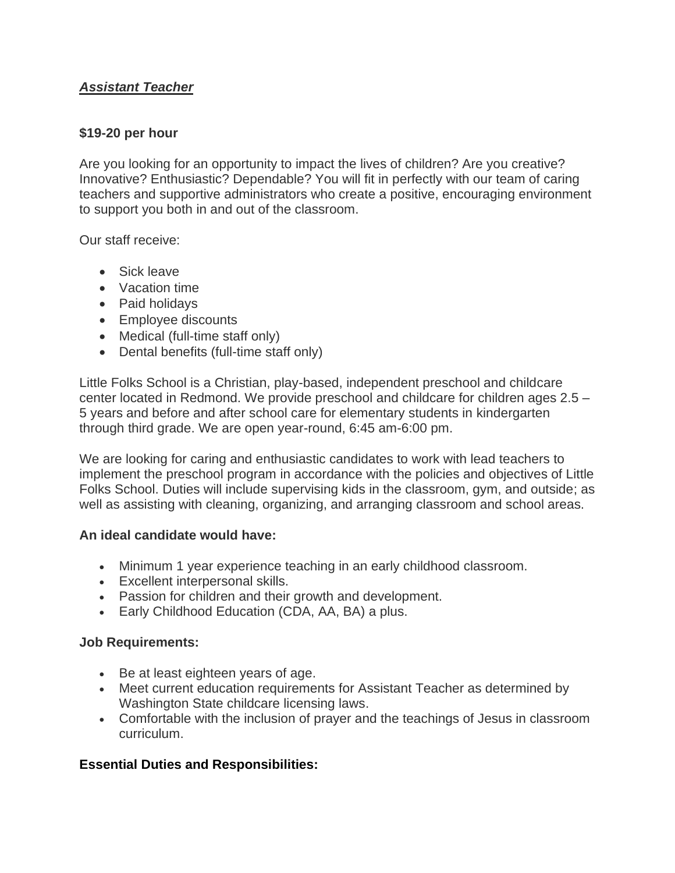# *Assistant Teacher*

# **\$19-20 per hour**

Are you looking for an opportunity to impact the lives of children? Are you creative? Innovative? Enthusiastic? Dependable? You will fit in perfectly with our team of caring teachers and supportive administrators who create a positive, encouraging environment to support you both in and out of the classroom.

Our staff receive:

- Sick leave
- Vacation time
- Paid holidays
- Employee discounts
- Medical (full-time staff only)
- Dental benefits (full-time staff only)

Little Folks School is a Christian, play-based, independent preschool and childcare center located in Redmond. We provide preschool and childcare for children ages 2.5 – 5 years and before and after school care for elementary students in kindergarten through third grade. We are open year-round, 6:45 am-6:00 pm.

We are looking for caring and enthusiastic candidates to work with lead teachers to implement the preschool program in accordance with the policies and objectives of Little Folks School. Duties will include supervising kids in the classroom, gym, and outside; as well as assisting with cleaning, organizing, and arranging classroom and school areas.

### **An ideal candidate would have:**

- Minimum 1 year experience teaching in an early childhood classroom.
- Excellent interpersonal skills.
- Passion for children and their growth and development.
- Early Childhood Education (CDA, AA, BA) a plus.

# **Job Requirements:**

- Be at least eighteen years of age.
- Meet current education requirements for Assistant Teacher as determined by Washington State childcare licensing laws.
- Comfortable with the inclusion of prayer and the teachings of Jesus in classroom curriculum.

# **Essential Duties and Responsibilities:**